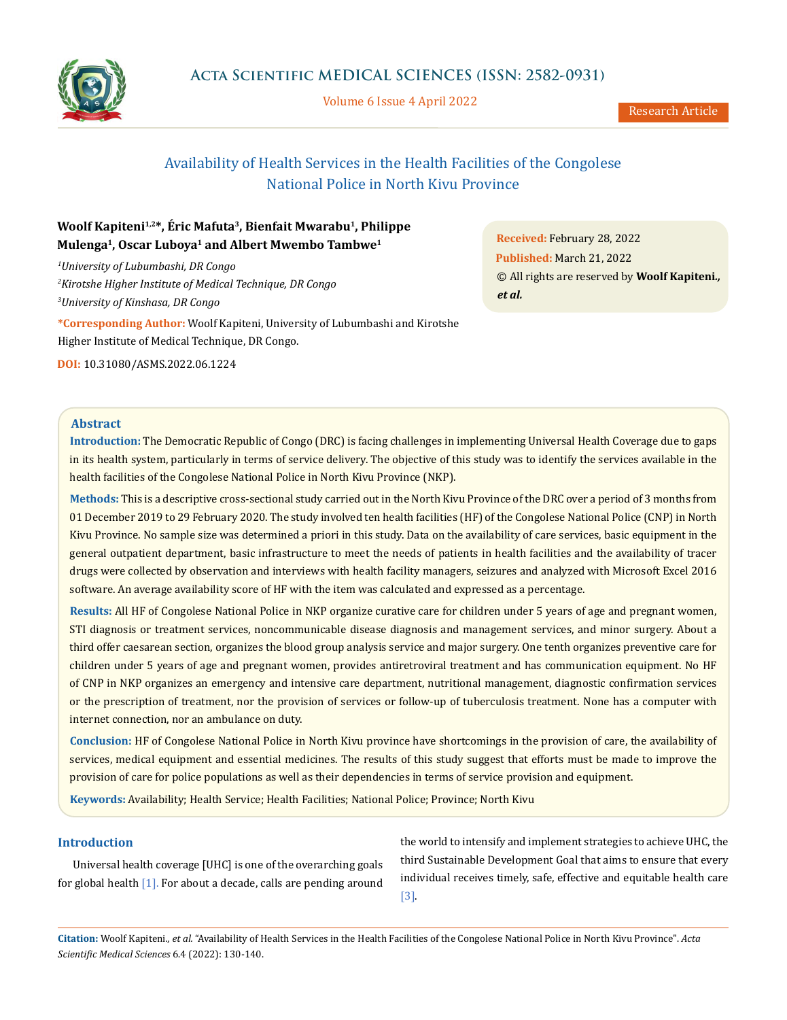

Volume 6 Issue 4 April 2022

# Availability of Health Services in the Health Facilities of the Congolese National Police in North Kivu Province

# **Woolf Kapiteni1,2\*, Éric Mafuta3, Bienfait Mwarabu1, Philippe Mulenga1, Oscar Luboya1 and Albert Mwembo Tambwe1**

*1 University of Lubumbashi, DR Congo 2 Kirotshe Higher Institute of Medical Technique, DR Congo 3 University of Kinshasa, DR Congo*

**\*Corresponding Author:** Woolf Kapiteni, University of Lubumbashi and Kirotshe Higher Institute of Medical Technique, DR Congo.

**DOI:** [10.31080/ASMS.2022.06.1224](http:// actascientific.com/ASMS/pdf/ASMS-06-1224.pdf)

**Received:** February 28, 2022 **Published:** March 21, 2022 © All rights are reserved by **Woolf Kapiteni***., et al.*

## **Abstract**

**Introduction:** The Democratic Republic of Congo (DRC) is facing challenges in implementing Universal Health Coverage due to gaps in its health system, particularly in terms of service delivery. The objective of this study was to identify the services available in the health facilities of the Congolese National Police in North Kivu Province (NKP).

**Methods:** This is a descriptive cross-sectional study carried out in the North Kivu Province of the DRC over a period of 3 months from 01 December 2019 to 29 February 2020. The study involved ten health facilities (HF) of the Congolese National Police (CNP) in North Kivu Province. No sample size was determined a priori in this study. Data on the availability of care services, basic equipment in the general outpatient department, basic infrastructure to meet the needs of patients in health facilities and the availability of tracer drugs were collected by observation and interviews with health facility managers, seizures and analyzed with Microsoft Excel 2016 software. An average availability score of HF with the item was calculated and expressed as a percentage.

**Results:** All HF of Congolese National Police in NKP organize curative care for children under 5 years of age and pregnant women, STI diagnosis or treatment services, noncommunicable disease diagnosis and management services, and minor surgery. About a third offer caesarean section, organizes the blood group analysis service and major surgery. One tenth organizes preventive care for children under 5 years of age and pregnant women, provides antiretroviral treatment and has communication equipment. No HF of CNP in NKP organizes an emergency and intensive care department, nutritional management, diagnostic confirmation services or the prescription of treatment, nor the provision of services or follow-up of tuberculosis treatment. None has a computer with internet connection, nor an ambulance on duty.

**Conclusion:** HF of Congolese National Police in North Kivu province have shortcomings in the provision of care, the availability of services, medical equipment and essential medicines. The results of this study suggest that efforts must be made to improve the provision of care for police populations as well as their dependencies in terms of service provision and equipment.

**Keywords:** Availability; Health Service; Health Facilities; National Police; Province; North Kivu

# **Introduction**

Universal health coverage [UHC] is one of the overarching goals for global health  $[1]$ . For about a decade, calls are pending around

the world to intensify and implement strategies to achieve UHC, the third Sustainable Development Goal that aims to ensure that every individual receives timely, safe, effective and equitable health care [3].

**Citation:** Woolf Kapiteni*., et al.* "Availability of Health Services in the Health Facilities of the Congolese National Police in North Kivu Province". *Acta Scientific Medical Sciences* 6.4 (2022): 130-140.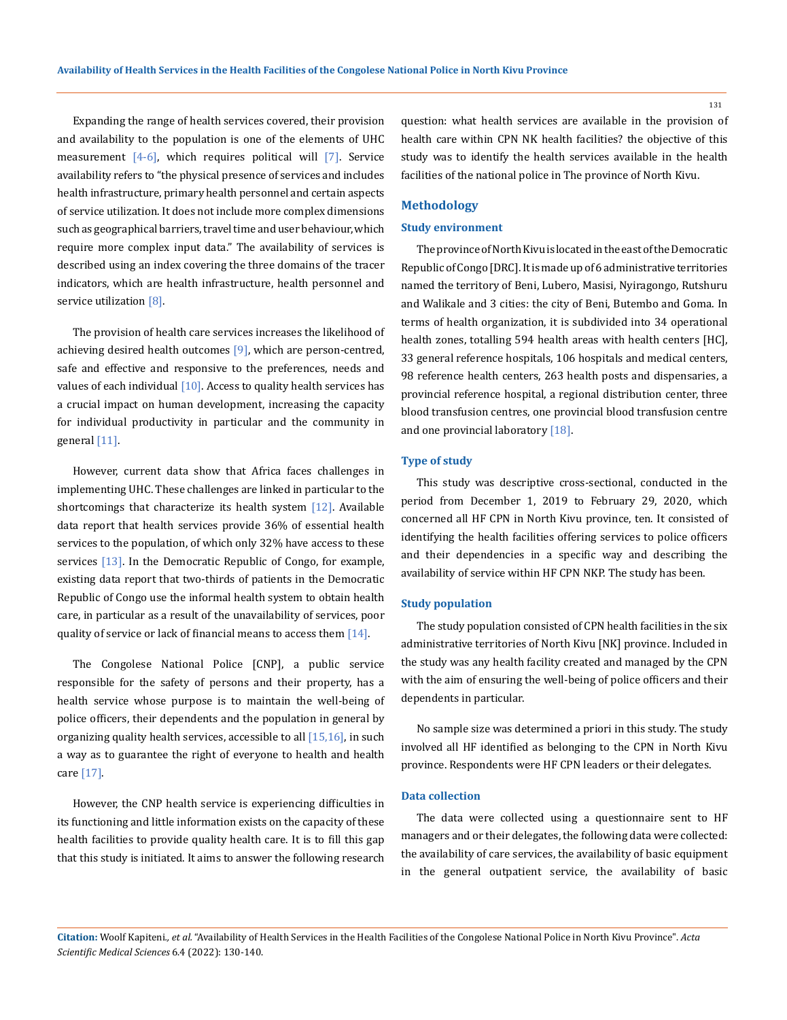Expanding the range of health services covered, their provision and availability to the population is one of the elements of UHC measurement  $[4-6]$ , which requires political will  $[7]$ . Service availability refers to "the physical presence of services and includes health infrastructure, primary health personnel and certain aspects of service utilization. It does not include more complex dimensions such as geographical barriers, travel time and user behaviour, which require more complex input data." The availability of services is described using an index covering the three domains of the tracer indicators, which are health infrastructure, health personnel and service utilization [8].

The provision of health care services increases the likelihood of achieving desired health outcomes  $[9]$ , which are person-centred, safe and effective and responsive to the preferences, needs and values of each individual  $[10]$ . Access to quality health services has a crucial impact on human development, increasing the capacity for individual productivity in particular and the community in general [11].

However, current data show that Africa faces challenges in implementing UHC. These challenges are linked in particular to the shortcomings that characterize its health system  $[12]$ . Available data report that health services provide 36% of essential health services to the population, of which only 32% have access to these services [13]. In the Democratic Republic of Congo, for example, existing data report that two-thirds of patients in the Democratic Republic of Congo use the informal health system to obtain health care, in particular as a result of the unavailability of services, poor quality of service or lack of financial means to access them  $[14]$ .

The Congolese National Police [CNP], a public service responsible for the safety of persons and their property, has a health service whose purpose is to maintain the well-being of police officers, their dependents and the population in general by organizing quality health services, accessible to all  $[15,16]$ , in such a way as to guarantee the right of everyone to health and health care [17].

However, the CNP health service is experiencing difficulties in its functioning and little information exists on the capacity of these health facilities to provide quality health care. It is to fill this gap that this study is initiated. It aims to answer the following research question: what health services are available in the provision of health care within CPN NK health facilities? the objective of this study was to identify the health services available in the health facilities of the national police in The province of North Kivu.

# **Methodology**

# **Study environment**

The province of North Kivu is located in the east of the Democratic Republic of Congo [DRC]. It is made up of 6 administrative territories named the territory of Beni, Lubero, Masisi, Nyiragongo, Rutshuru and Walikale and 3 cities: the city of Beni, Butembo and Goma. In terms of health organization, it is subdivided into 34 operational health zones, totalling 594 health areas with health centers [HC], 33 general reference hospitals, 106 hospitals and medical centers, 98 reference health centers, 263 health posts and dispensaries, a provincial reference hospital, a regional distribution center, three blood transfusion centres, one provincial blood transfusion centre and one provincial laboratory [18].

### **Type of study**

This study was descriptive cross-sectional, conducted in the period from December 1, 2019 to February 29, 2020, which concerned all HF CPN in North Kivu province, ten. It consisted of identifying the health facilities offering services to police officers and their dependencies in a specific way and describing the availability of service within HF CPN NKP. The study has been.

#### **Study population**

The study population consisted of CPN health facilities in the six administrative territories of North Kivu [NK] province. Included in the study was any health facility created and managed by the CPN with the aim of ensuring the well-being of police officers and their dependents in particular.

No sample size was determined a priori in this study. The study involved all HF identified as belonging to the CPN in North Kivu province. Respondents were HF CPN leaders or their delegates.

## **Data collection**

The data were collected using a questionnaire sent to HF managers and or their delegates, the following data were collected: the availability of care services, the availability of basic equipment in the general outpatient service, the availability of basic

**Citation:** Woolf Kapiteni*., et al.* "Availability of Health Services in the Health Facilities of the Congolese National Police in North Kivu Province". *Acta Scientific Medical Sciences* 6.4 (2022): 130-140.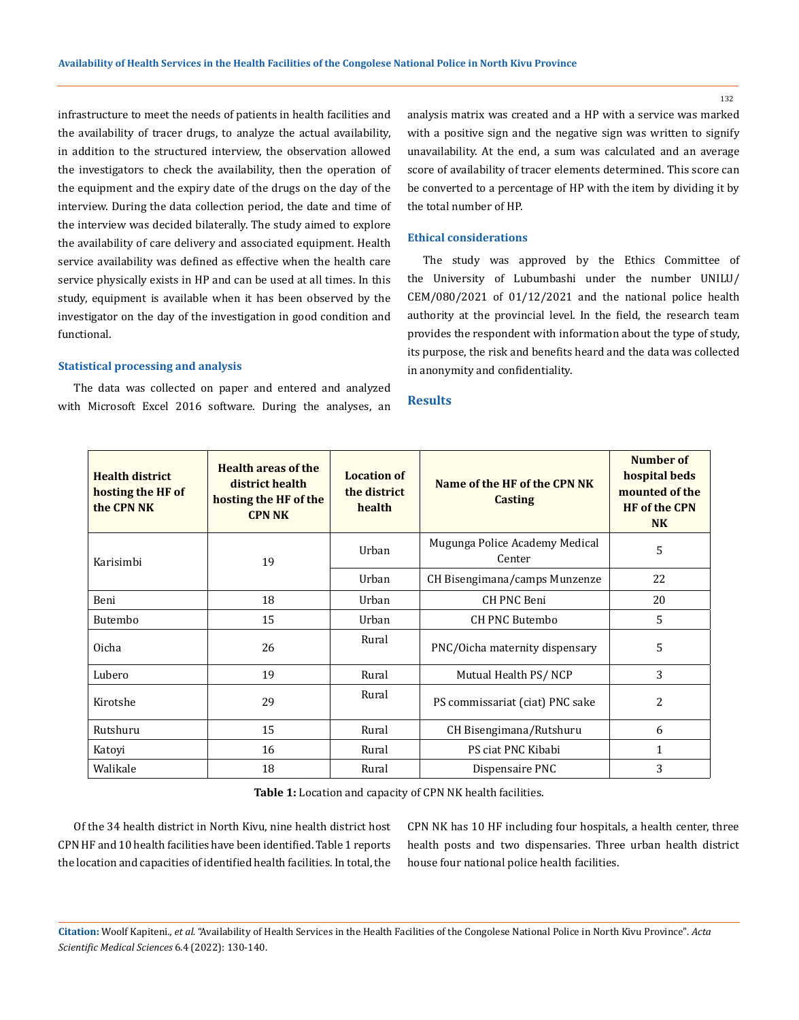infrastructure to meet the needs of patients in health facilities and the availability of tracer drugs, to analyze the actual availability, in addition to the structured interview, the observation allowed the investigators to check the availability, then the operation of the equipment and the expiry date of the drugs on the day of the interview. During the data collection period, the date and time of the interview was decided bilaterally. The study aimed to explore the availability of care delivery and associated equipment. Health service availability was defined as effective when the health care service physically exists in HP and can be used at all times. In this study, equipment is available when it has been observed by the investigator on the day of the investigation in good condition and functional.

#### **Statistical processing and analysis**

The data was collected on paper and entered and analyzed with Microsoft Excel 2016 software. During the analyses, an analysis matrix was created and a HP with a service was marked with a positive sign and the negative sign was written to signify unavailability. At the end, a sum was calculated and an average score of availability of tracer elements determined. This score can be converted to a percentage of HP with the item by dividing it by the total number of HP.

## **Ethical considerations**

The study was approved by the Ethics Committee of the University of Lubumbashi under the number UNILU/ CEM/080/2021 of 01/12/2021 and the national police health authority at the provincial level. In the field, the research team provides the respondent with information about the type of study, its purpose, the risk and benefits heard and the data was collected in anonymity and confidentiality.

### **Results**

| <b>Health district</b><br>hosting the HF of<br>the CPN NK | <b>Health areas of the</b><br>district health<br>hosting the HF of the<br><b>CPN NK</b> | <b>Location of</b><br>the district<br>health | Name of the HF of the CPN NK<br><b>Casting</b> | Number of<br>hospital beds<br>mounted of the<br><b>HF</b> of the CPN<br><b>NK</b> |
|-----------------------------------------------------------|-----------------------------------------------------------------------------------------|----------------------------------------------|------------------------------------------------|-----------------------------------------------------------------------------------|
| Karisimbi                                                 | 19                                                                                      | Urban                                        | Mugunga Police Academy Medical<br>Center       | 5                                                                                 |
|                                                           |                                                                                         | Urban                                        | CH Bisengimana/camps Munzenze                  | 22                                                                                |
| Beni                                                      | 18                                                                                      | Urban                                        | <b>CH PNC Beni</b>                             | 20                                                                                |
| Butembo                                                   | 15                                                                                      | Urban                                        | <b>CH PNC Butembo</b>                          | 5                                                                                 |
| Oicha                                                     | 26                                                                                      | Rural                                        | PNC/Oicha maternity dispensary                 | 5                                                                                 |
| Lubero                                                    | 19                                                                                      | Rural                                        | Mutual Health PS/NCP                           | 3                                                                                 |
| Kirotshe                                                  | 29                                                                                      | Rural                                        | PS commissariat (ciat) PNC sake                | $\overline{c}$                                                                    |
| Rutshuru                                                  | 15                                                                                      | Rural                                        | CH Bisengimana/Rutshuru                        | 6                                                                                 |
| Katoyi                                                    | 16                                                                                      | Rural                                        | PS ciat PNC Kibabi                             | 1                                                                                 |
| Walikale                                                  | 18                                                                                      | Rural                                        | Dispensaire PNC                                | 3                                                                                 |

**Table 1:** Location and capacity of CPN NK health facilities.

Of the 34 health district in North Kivu, nine health district host CPN HF and 10 health facilities have been identified. Table 1 reports the location and capacities of identified health facilities. In total, the CPN NK has 10 HF including four hospitals, a health center, three health posts and two dispensaries. Three urban health district house four national police health facilities.

**Citation:** Woolf Kapiteni*., et al.* "Availability of Health Services in the Health Facilities of the Congolese National Police in North Kivu Province". *Acta Scientific Medical Sciences* 6.4 (2022): 130-140.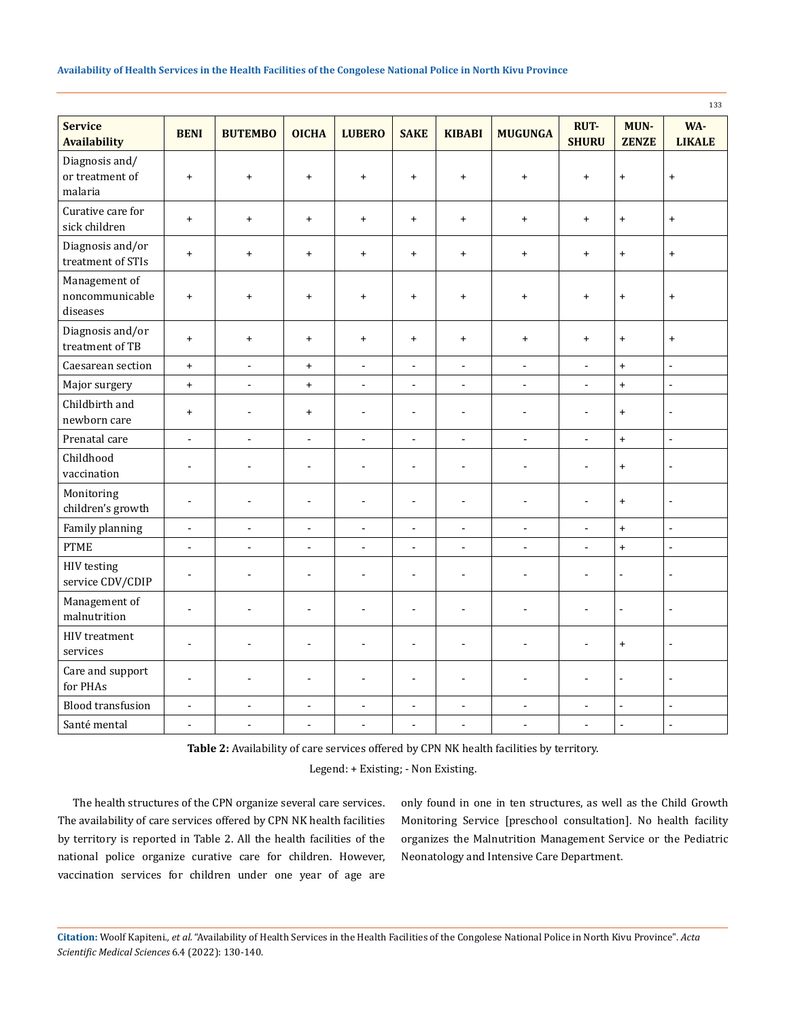|                                              |                                  |                                  |                                  |                                  |                          |                                  |                          |                             |                                  | 133                              |
|----------------------------------------------|----------------------------------|----------------------------------|----------------------------------|----------------------------------|--------------------------|----------------------------------|--------------------------|-----------------------------|----------------------------------|----------------------------------|
| <b>Service</b><br><b>Availability</b>        | <b>BENI</b>                      | <b>BUTEMBO</b>                   | <b>OICHA</b>                     | <b>LUBERO</b>                    | <b>SAKE</b>              | <b>KIBABI</b>                    | <b>MUGUNGA</b>           | <b>RUT-</b><br><b>SHURU</b> | MUN-<br><b>ZENZE</b>             | WA-<br><b>LIKALE</b>             |
| Diagnosis and/<br>or treatment of<br>malaria | $\ddot{}$                        | $\ddot{}$                        | $\ddot{}$                        | $\ddot{}$                        | $\ddot{}$                | $\begin{array}{c} + \end{array}$ | $\ddot{}$                | $\ddot{}$                   | $\ddot{}$                        | $\begin{array}{c} + \end{array}$ |
| Curative care for<br>sick children           | $\ddot{}$                        | $\ddot{}$                        | $\ddot{}$                        | $\ddot{}$                        | $\ddot{}$                | $\ddot{}$                        | $\ddot{}$                | $\ddot{}$                   | $\ddot{}$                        | $\ddot{}$                        |
| Diagnosis and/or<br>treatment of STIs        | $\! + \!\!\!\!$                  | $\begin{array}{c} + \end{array}$ | $\ddot{}$                        | $\begin{array}{c} + \end{array}$ | $\ddot{}$                | $\ddot{}$                        | $\ddot{}$                | $\ddot{}$                   | $\begin{array}{c} + \end{array}$ | $\ddot{}$                        |
| Management of<br>noncommunicable<br>diseases | $\begin{array}{c} + \end{array}$ | $\begin{array}{c} + \end{array}$ | $+$                              | $\ddot{}$                        | $\ddot{}$                | $\ddot{}$                        | $\ddot{}$                | $\ddot{}$                   | $\begin{array}{c} + \end{array}$ | $\begin{array}{c} + \end{array}$ |
| Diagnosis and/or<br>treatment of TB          | $\! + \!\!\!\!$                  | $\begin{array}{c} + \end{array}$ | $\ddot{}$                        | $\begin{array}{c} + \end{array}$ | $\ddot{}$                | $+$                              | $\ddot{}$                | $\ddot{}$                   | $\begin{array}{c} + \end{array}$ | $\ddot{}$                        |
| Caesarean section                            | $\ddot{}$                        | $\blacksquare$                   | $\begin{array}{c} + \end{array}$ | $\Box$                           | $\blacksquare$           | $\blacksquare$                   | $\blacksquare$           | $\Box$                      | $\ddot{}$                        | $\overline{\phantom{a}}$         |
| Major surgery                                | $+$                              | $\overline{\phantom{a}}$         | $+$                              | $\blacksquare$                   | $\blacksquare$           | $\blacksquare$                   | $\blacksquare$           | $\blacksquare$              | $+$                              | ä,                               |
| Childbirth and<br>newborn care               | $\ddot{}$                        | $\blacksquare$                   | $+$                              | $\blacksquare$                   | $\blacksquare$           | $\blacksquare$                   | $\blacksquare$           | $\blacksquare$              | $\ddot{}$                        | $\overline{a}$                   |
| Prenatal care                                | $\overline{a}$                   | $\overline{a}$                   | $\overline{a}$                   | $\ddot{\phantom{a}}$             | L.                       | $\overline{a}$                   | $\overline{a}$           | $\overline{a}$              | $\ddot{}$                        | $\overline{a}$                   |
| Childhood<br>vaccination                     | ÷,                               | ÷,                               | $\overline{a}$                   | ÷,                               | $\overline{a}$           | $\overline{\phantom{a}}$         | $\overline{a}$           | ÷,                          | $\begin{array}{c} + \end{array}$ | $\blacksquare$                   |
| Monitoring<br>children's growth              | $\overline{\phantom{a}}$         | $\sim$                           | ÷,                               | $\blacksquare$                   | Ĭ.                       | $\overline{\phantom{a}}$         | $\blacksquare$           | ÷,                          | $\ddot{}$                        | $\overline{\phantom{a}}$         |
| Family planning                              | $\blacksquare$                   | $\Box$                           | $\blacksquare$                   | $\blacksquare$                   | $\blacksquare$           | $\blacksquare$                   | $\blacksquare$           | $\Box$                      | $\ddot{}$                        | ÷,                               |
| <b>PTME</b>                                  | $\overline{a}$                   | $\overline{a}$                   | $\blacksquare$                   | $\overline{a}$                   | $\frac{1}{2}$            | $\overline{a}$                   | $\overline{a}$           | $\overline{\phantom{a}}$    | $\ddot{}$                        | $\overline{a}$                   |
| <b>HIV</b> testing<br>service CDV/CDIP       | $\overline{a}$                   | ÷,                               | $\overline{a}$                   | $\overline{a}$                   | $\blacksquare$           | $\blacksquare$                   | $\overline{\phantom{a}}$ | ÷,                          | $\blacksquare$                   | $\blacksquare$                   |
| Management of<br>malnutrition                | $\blacksquare$                   | $\overline{a}$                   | ÷,                               | $\overline{\phantom{a}}$         | J.                       | $\overline{\phantom{a}}$         | $\overline{a}$           | $\overline{a}$              | $\blacksquare$                   | $\overline{a}$                   |
| <b>HIV</b> treatment<br>services             | $\blacksquare$                   | $\blacksquare$                   | $\blacksquare$                   | $\overline{a}$                   | $\blacksquare$           | $\blacksquare$                   | $\overline{a}$           | L.                          | $\ddot{}$                        | $\blacksquare$                   |
| Care and support<br>for PHAs                 | ÷,                               | L,                               | ÷                                |                                  | Ĭ.                       | L,                               | $\blacksquare$           | -                           | $\blacksquare$                   | $\frac{1}{2}$                    |
| <b>Blood transfusion</b>                     | $\overline{\phantom{a}}$         | $\blacksquare$                   | $\blacksquare$                   | $\overline{\phantom{a}}$         | $\overline{\phantom{a}}$ | $\qquad \qquad \blacksquare$     | $\blacksquare$           | $\overline{\phantom{a}}$    | $\blacksquare$                   | $\overline{\phantom{a}}$         |
| Santé mental                                 | $\blacksquare$                   | $\blacksquare$                   | $\blacksquare$                   | $\overline{\phantom{a}}$         | $\blacksquare$           | $\blacksquare$                   | $\overline{\phantom{a}}$ | $\blacksquare$              | ÷,                               | $\overline{\phantom{a}}$         |

**Table 2:** Availability of care services offered by CPN NK health facilities by territory.

Legend: + Existing; - Non Existing.

The health structures of the CPN organize several care services. The availability of care services offered by CPN NK health facilities by territory is reported in Table 2. All the health facilities of the national police organize curative care for children. However, vaccination services for children under one year of age are

only found in one in ten structures, as well as the Child Growth Monitoring Service [preschool consultation]. No health facility organizes the Malnutrition Management Service or the Pediatric Neonatology and Intensive Care Department.

**Citation:** Woolf Kapiteni*., et al.* "Availability of Health Services in the Health Facilities of the Congolese National Police in North Kivu Province". *Acta Scientific Medical Sciences* 6.4 (2022): 130-140.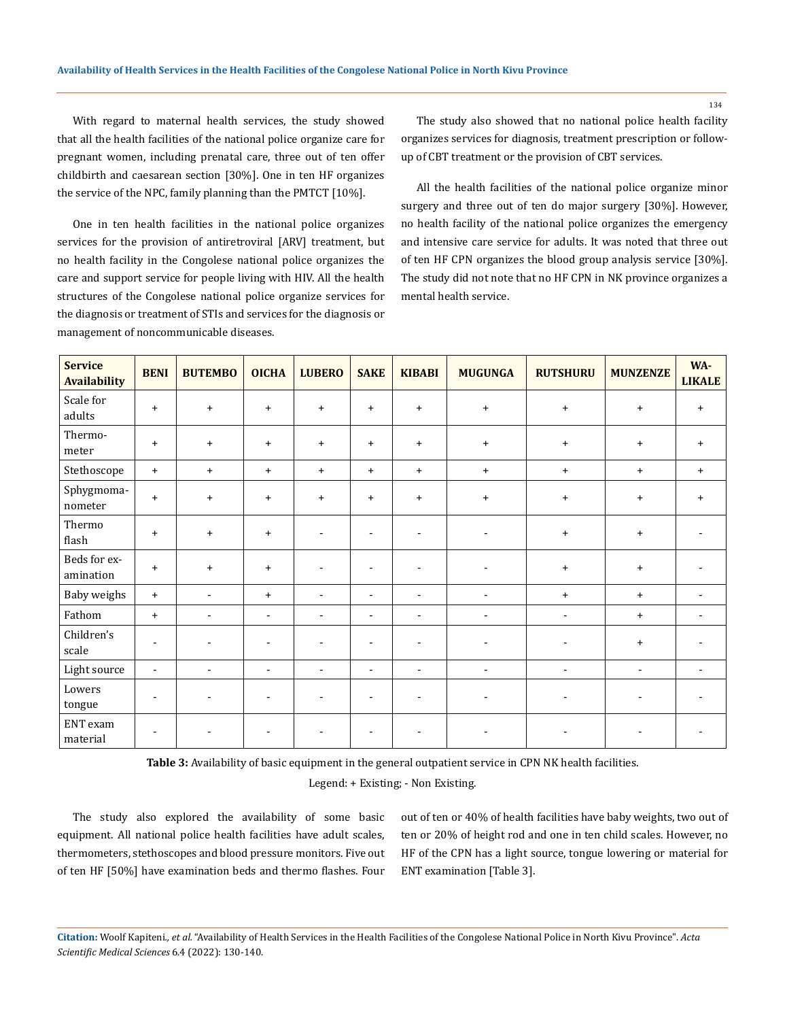With regard to maternal health services, the study showed that all the health facilities of the national police organize care for pregnant women, including prenatal care, three out of ten offer childbirth and caesarean section [30%]. One in ten HF organizes the service of the NPC, family planning than the PMTCT [10%].

One in ten health facilities in the national police organizes services for the provision of antiretroviral [ARV] treatment, but no health facility in the Congolese national police organizes the care and support service for people living with HIV. All the health structures of the Congolese national police organize services for the diagnosis or treatment of STIs and services for the diagnosis or management of noncommunicable diseases.

The study also showed that no national police health facility organizes services for diagnosis, treatment prescription or followup of CBT treatment or the provision of CBT services.

All the health facilities of the national police organize minor surgery and three out of ten do major surgery [30%]. However, no health facility of the national police organizes the emergency and intensive care service for adults. It was noted that three out of ten HF CPN organizes the blood group analysis service [30%]. The study did not note that no HF CPN in NK province organizes a mental health service.

| <b>Service</b><br><b>Availability</b> | <b>BENI</b>              | <b>BUTEMBO</b>           | <b>OICHA</b>             | <b>LUBERO</b>  | <b>SAKE</b>    | <b>KIBABI</b>            | <b>MUGUNGA</b>           | <b>RUTSHURU</b>          | <b>MUNZENZE</b> | WA-<br><b>LIKALE</b> |
|---------------------------------------|--------------------------|--------------------------|--------------------------|----------------|----------------|--------------------------|--------------------------|--------------------------|-----------------|----------------------|
| Scale for<br>adults                   | $+$                      | $\ddot{}$                | $+$                      | $+$            | $+$            | $\ddot{}$                | $+$                      | $\ddot{}$                | $\ddot{}$       | $\ddot{}$            |
| Thermo-<br>meter                      | $+$                      | $+$                      | $+$                      | $+$            | $+$            | $\ddot{}$                | $+$                      | $+$                      | $+$             | $+$                  |
| Stethoscope                           | $+$                      | $\ddot{}$                | $\ddot{}$                | $\ddot{}$      | $+$            | $\ddot{}$                | $+$                      | $+$                      | $\ddot{}$       | $+$                  |
| Sphygmoma-<br>$\,$ nometer $\,$       | $+$                      | $+$                      | $+$                      | $+$            | $+$            | $\ddot{}$                | $+$                      | $+$                      | $\ddot{}$       | $\ddot{}$            |
| Thermo<br>flash                       | $+$                      | $\ddot{}$                | $+$                      |                | $\blacksquare$ | $\overline{\phantom{a}}$ | $\overline{\phantom{a}}$ | $+$                      | $+$             |                      |
| Beds for ex-<br>amination             | $+$                      | $\ddot{}$                | $+$                      | $\overline{a}$ | $\blacksquare$ | $\overline{\phantom{a}}$ | $\overline{\phantom{a}}$ | $\ddot{}$                | $+$             |                      |
| Baby weighs                           | $+$                      | $\blacksquare$           | $+$                      | $\blacksquare$ | $\blacksquare$ | $\blacksquare$           | $\blacksquare$           | $+$                      | $+$             | $\sim$               |
| Fathom                                | $+$                      | $\blacksquare$           | $\blacksquare$           | $\blacksquare$ | $\blacksquare$ | $\blacksquare$           | $\blacksquare$           | $\blacksquare$           | $\ddot{}$       | $\blacksquare$       |
| Children's<br>scale                   | $\overline{\phantom{a}}$ | $\blacksquare$           | $\overline{a}$           | $\overline{a}$ | $\blacksquare$ | $\overline{\phantom{a}}$ | $\overline{a}$           | $\overline{\phantom{a}}$ | $\ddot{}$       |                      |
| Light source                          | $\blacksquare$           | $\overline{\phantom{a}}$ | $\overline{\phantom{a}}$ | ٠              | $\blacksquare$ | $\overline{\phantom{a}}$ | $\overline{\phantom{a}}$ | $\overline{\phantom{a}}$ | $\blacksquare$  | $\blacksquare$       |
| Lowers<br>tongue                      | $\sim$                   | $\blacksquare$           | ÷,                       | ÷              |                | $\overline{\phantom{a}}$ | $\blacksquare$           | $\overline{\phantom{a}}$ |                 |                      |
| ENT exam<br>material                  |                          |                          |                          |                |                | $\blacksquare$           | $\blacksquare$           | $\blacksquare$           |                 |                      |

**Table 3:** Availability of basic equipment in the general outpatient service in CPN NK health facilities.

Legend: + Existing; - Non Existing.

The study also explored the availability of some basic equipment. All national police health facilities have adult scales, thermometers, stethoscopes and blood pressure monitors. Five out of ten HF [50%] have examination beds and thermo flashes. Four out of ten or 40% of health facilities have baby weights, two out of ten or 20% of height rod and one in ten child scales. However, no HF of the CPN has a light source, tongue lowering or material for ENT examination [Table 3].

**Citation:** Woolf Kapiteni*., et al.* "Availability of Health Services in the Health Facilities of the Congolese National Police in North Kivu Province". *Acta Scientific Medical Sciences* 6.4 (2022): 130-140.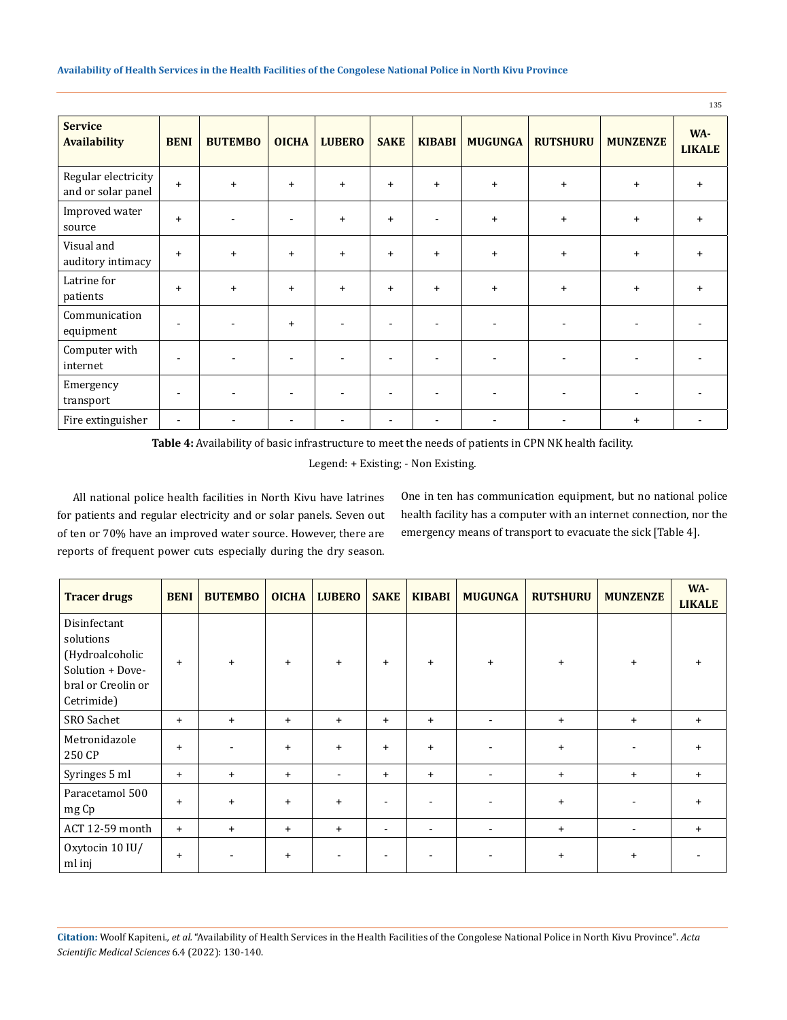|                                           |                          |                |              |               |                          |                          |                |                          |                 | 135                  |
|-------------------------------------------|--------------------------|----------------|--------------|---------------|--------------------------|--------------------------|----------------|--------------------------|-----------------|----------------------|
| <b>Service</b><br><b>Availability</b>     | <b>BENI</b>              | <b>BUTEMBO</b> | <b>OICHA</b> | <b>LUBERO</b> | <b>SAKE</b>              | <b>KIBABI</b>            | <b>MUGUNGA</b> | <b>RUTSHURU</b>          | <b>MUNZENZE</b> | WA-<br><b>LIKALE</b> |
| Regular electricity<br>and or solar panel | $+$                      | $+$            | $\ddot{}$    | $\ddot{}$     | $\ddot{}$                | $+$                      | $+$            | $\ddot{}$                | $+$             | $+$                  |
| Improved water<br>source                  | $+$                      |                |              | $+$           | $+$                      | $\overline{\phantom{a}}$ | $+$            | $\ddot{}$                | $\ddot{}$       | $+$                  |
| Visual and<br>auditory intimacy           | $+$                      | $+$            | $+$          | $+$           | $+$                      | $+$                      | $+$            | $+$                      | $\ddot{}$       | $+$                  |
| Latrine for<br>patients                   | $\ddot{}$                | $+$            | $\ddot{}$    | $+$           | $\ddot{}$                | $+$                      | $+$            | $+$                      | $\ddot{}$       | $+$                  |
| Communication<br>equipment                | $\overline{\phantom{a}}$ |                | $+$          |               | ÷                        |                          | ٠              | $\overline{\phantom{a}}$ | $\blacksquare$  |                      |
| Computer with<br>internet                 | $\blacksquare$           |                |              |               | $\overline{\phantom{a}}$ | $\overline{\phantom{a}}$ | ۰              | $\blacksquare$           | $\blacksquare$  |                      |
| Emergency<br>transport                    | $\blacksquare$           |                |              |               | $\overline{a}$           | $\blacksquare$           | ٠              | $\blacksquare$           | $\blacksquare$  |                      |
| Fire extinguisher                         | $\blacksquare$           |                |              |               | $\overline{a}$           | $\overline{\phantom{a}}$ |                | $\blacksquare$           | $\ddot{}$       |                      |

**Table 4:** Availability of basic infrastructure to meet the needs of patients in CPN NK health facility.

Legend: + Existing; - Non Existing.

All national police health facilities in North Kivu have latrines for patients and regular electricity and or solar panels. Seven out of ten or 70% have an improved water source. However, there are reports of frequent power cuts especially during the dry season.

One in ten has communication equipment, but no national police health facility has a computer with an internet connection, nor the emergency means of transport to evacuate the sick [Table 4].

| <b>Tracer drugs</b>                                                                                  | <b>BENI</b> | <b>BUTEMBO</b> | <b>OICHA</b> | <b>LUBERO</b>  | <b>SAKE</b>              | <b>KIBABI</b>  | <b>MUGUNGA</b>           | <b>RUTSHURU</b> | <b>MUNZENZE</b>          | WA-<br><b>LIKALE</b> |
|------------------------------------------------------------------------------------------------------|-------------|----------------|--------------|----------------|--------------------------|----------------|--------------------------|-----------------|--------------------------|----------------------|
| Disinfectant<br>solutions<br>(Hydroalcoholic<br>Solution + Dove-<br>bral or Creolin or<br>Cetrimide) | $+$         | $\ddot{}$      | $+$          | $\ddot{}$      | $+$                      | $+$            | $+$                      | $+$             | $\ddot{}$                |                      |
| SRO Sachet                                                                                           | $+$         | $+$            | $+$          | $+$            | $+$                      | $+$            | $\sim$                   | $+$             | $+$                      | $+$                  |
| Metronidazole<br>250 CP                                                                              | $+$         | $\blacksquare$ | $+$          | $\ddot{}$      | $+$                      | $+$            | $\overline{\phantom{a}}$ | $+$             | $\blacksquare$           | $\div$               |
| Syringes 5 ml                                                                                        | $+$         | $+$            | $+$          | $\blacksquare$ | $+$                      | $+$            | $\blacksquare$           | $+$             | $+$                      | $+$                  |
| Paracetamol 500<br>mg Cp                                                                             | $+$         | $\ddot{}$      | $+$          | $\ddot{}$      | $\overline{\phantom{a}}$ |                | $\blacksquare$           | $\ddot{}$       | $\blacksquare$           | $+$                  |
| ACT 12-59 month                                                                                      | $+$         | $+$            | $+$          | $+$            | $\blacksquare$           | $\blacksquare$ | $\sim$                   | $\ddot{}$       | $\overline{\phantom{a}}$ | $\ddot{}$            |
| Oxytocin 10 IU/<br>ml inj                                                                            | $+$         |                | $+$          |                |                          |                | $\overline{\phantom{a}}$ | $\ddot{}$       | $\ddot{}$                |                      |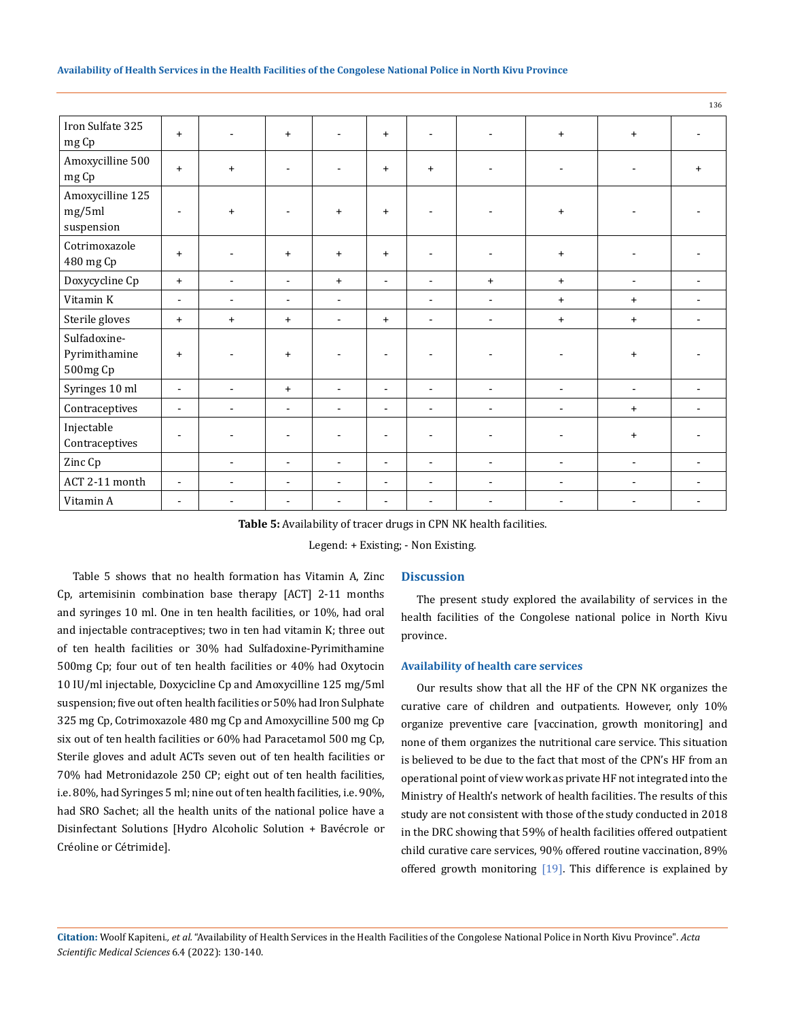|                                           |                          |                          |                          |                          |                          |                          |                          |                          |                          | 136                      |
|-------------------------------------------|--------------------------|--------------------------|--------------------------|--------------------------|--------------------------|--------------------------|--------------------------|--------------------------|--------------------------|--------------------------|
| Iron Sulfate 325<br>mg Cp                 | $+$                      | $\blacksquare$           | $+$                      | $\blacksquare$           | $+$                      | $\blacksquare$           | ٠                        | $\ddot{}$                | $+$                      |                          |
| Amoxycilline 500<br>mg Cp                 | $+$                      | $\ddot{}$                | ٠                        | $\blacksquare$           | $+$                      | $+$                      | $\overline{\phantom{a}}$ | $\overline{\phantom{a}}$ |                          | $\ddot{}$                |
| Amoxycilline 125<br>mg/5ml<br>suspension  | $\overline{\phantom{a}}$ | $\ddot{}$                | ٠                        | $\ddot{}$                | $+$                      | $\blacksquare$           | $\overline{\phantom{a}}$ | $\ddot{}$                |                          |                          |
| Cotrimoxazole<br>480 mg Cp                | $\ddot{}$                | $\overline{\phantom{a}}$ | $+$                      | $\ddot{}$                | $+$                      | $\overline{\phantom{a}}$ | ٠                        | $\ddot{}$                | $\blacksquare$           | $\overline{\phantom{a}}$ |
| Doxycycline Cp                            | $\ddot{}$                | $\overline{\phantom{a}}$ | $\blacksquare$           | $\ddot{}$                | $\sim$                   | $\blacksquare$           | $+$                      | $+$                      | $\blacksquare$           | $\blacksquare$           |
| Vitamin K                                 | $\sim$                   | $\blacksquare$           | $\blacksquare$           | $\blacksquare$           |                          | $\blacksquare$           | $\blacksquare$           | $\ddot{}$                | $\ddot{}$                | $\blacksquare$           |
| Sterile gloves                            | $\ddot{}$                | $\ddot{}$                | $+$                      | $\blacksquare$           | $\ddot{}$                | $\blacksquare$           | $\overline{\phantom{a}}$ | $\ddot{}$                | $\ddot{}$                | $\blacksquare$           |
| Sulfadoxine-<br>Pyrimithamine<br>500mg Cp | $\ddot{}$                | L,                       | $+$                      |                          | $\blacksquare$           | $\blacksquare$           |                          | ٠                        | $\ddot{}$                |                          |
| Syringes 10 ml                            | $\blacksquare$           | $\blacksquare$           | $+$                      | $\blacksquare$           | $\sim$                   | $\sim$                   | $\overline{\phantom{a}}$ | $\overline{\phantom{a}}$ | $\overline{\phantom{a}}$ | $\overline{\phantom{a}}$ |
| Contraceptives                            | $\blacksquare$           | $\blacksquare$           | $\blacksquare$           | $\blacksquare$           | $\sim$                   | $\blacksquare$           | $\blacksquare$           | $\blacksquare$           | $\ddot{}$                | $\blacksquare$           |
| Injectable<br>Contraceptives              | $\overline{\phantom{a}}$ | $\blacksquare$           | $\overline{a}$           | $\blacksquare$           | $\overline{\phantom{a}}$ | $\overline{\phantom{a}}$ | $\overline{\phantom{a}}$ | $\overline{a}$           | $\ddot{}$                |                          |
| Zinc Cp                                   |                          | $\blacksquare$           | $\blacksquare$           | $\blacksquare$           | $\overline{\phantom{a}}$ | $\blacksquare$           | $\blacksquare$           | $\blacksquare$           | $\overline{\phantom{a}}$ | $\overline{\phantom{a}}$ |
| ACT 2-11 month                            | $\sim$                   | $\blacksquare$           | $\blacksquare$           | $\blacksquare$           | $\sim$                   | $\blacksquare$           | $\blacksquare$           | $\blacksquare$           | $\blacksquare$           | $\blacksquare$           |
| Vitamin A                                 | $\overline{\phantom{a}}$ | $\overline{\phantom{a}}$ | $\overline{\phantom{a}}$ | $\overline{\phantom{a}}$ | $\sim$                   | $\overline{\phantom{a}}$ | $\overline{\phantom{a}}$ | $\blacksquare$           | $\overline{\phantom{a}}$ | $\overline{\phantom{a}}$ |

**Table 5:** Availability of tracer drugs in CPN NK health facilities.

Legend: + Existing; - Non Existing.

Table 5 shows that no health formation has Vitamin A, Zinc Cp, artemisinin combination base therapy [ACT] 2-11 months and syringes 10 ml. One in ten health facilities, or 10%, had oral and injectable contraceptives; two in ten had vitamin K; three out of ten health facilities or 30% had Sulfadoxine-Pyrimithamine 500mg Cp; four out of ten health facilities or 40% had Oxytocin 10 IU/ml injectable, Doxycicline Cp and Amoxycilline 125 mg/5ml suspension; five out of ten health facilities or 50% had Iron Sulphate 325 mg Cp, Cotrimoxazole 480 mg Cp and Amoxycilline 500 mg Cp six out of ten health facilities or 60% had Paracetamol 500 mg Cp, Sterile gloves and adult ACTs seven out of ten health facilities or 70% had Metronidazole 250 CP; eight out of ten health facilities, i.e. 80%, had Syringes 5 ml; nine out of ten health facilities, i.e. 90%, had SRO Sachet; all the health units of the national police have a Disinfectant Solutions [Hydro Alcoholic Solution + Bavécrole or Créoline or Cétrimide].

## **Discussion**

The present study explored the availability of services in the health facilities of the Congolese national police in North Kivu province.

## **Availability of health care services**

Our results show that all the HF of the CPN NK organizes the curative care of children and outpatients. However, only 10% organize preventive care [vaccination, growth monitoring] and none of them organizes the nutritional care service. This situation is believed to be due to the fact that most of the CPN's HF from an operational point of view work as private HF not integrated into the Ministry of Health's network of health facilities. The results of this study are not consistent with those of the study conducted in 2018 in the DRC showing that 59% of health facilities offered outpatient child curative care services, 90% offered routine vaccination, 89% offered growth monitoring [19]. This difference is explained by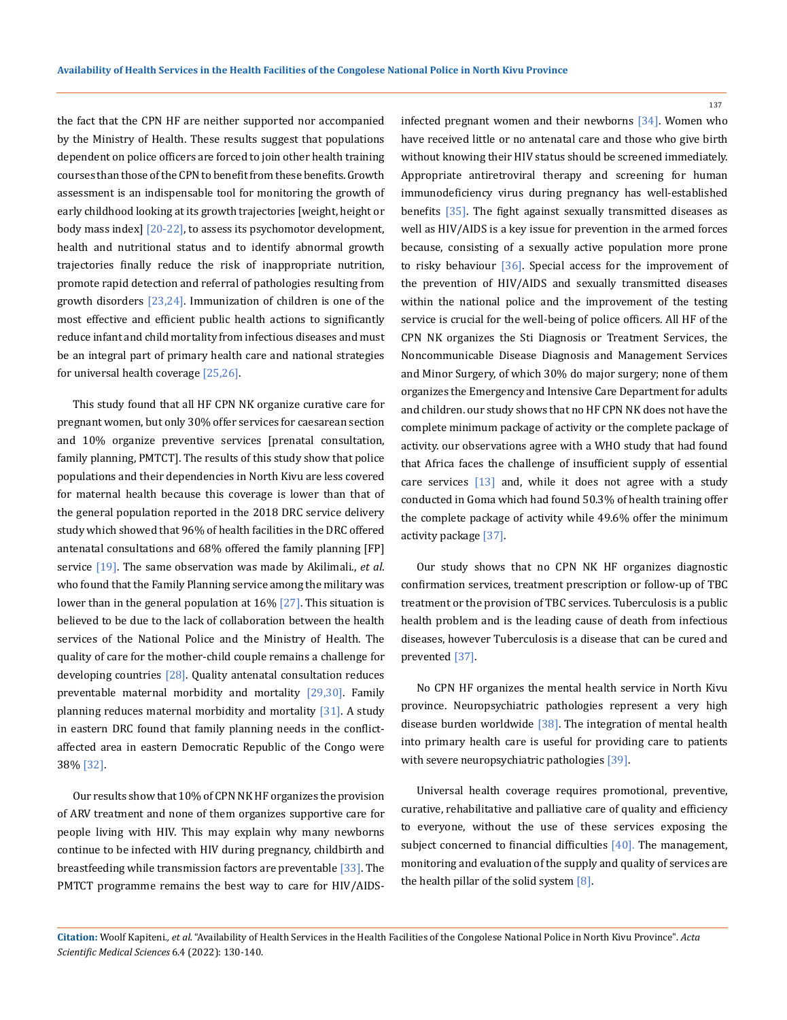the fact that the CPN HF are neither supported nor accompanied by the Ministry of Health. These results suggest that populations dependent on police officers are forced to join other health training courses than those of the CPN to benefit from these benefits. Growth assessment is an indispensable tool for monitoring the growth of early childhood looking at its growth trajectories [weight, height or body mass index] [20-22], to assess its psychomotor development, health and nutritional status and to identify abnormal growth trajectories finally reduce the risk of inappropriate nutrition, promote rapid detection and referral of pathologies resulting from growth disorders [23,24]. Immunization of children is one of the most effective and efficient public health actions to significantly reduce infant and child mortality from infectious diseases and must be an integral part of primary health care and national strategies for universal health coverage [25,26].

This study found that all HF CPN NK organize curative care for pregnant women, but only 30% offer services for caesarean section and 10% organize preventive services [prenatal consultation, family planning, PMTCT]. The results of this study show that police populations and their dependencies in North Kivu are less covered for maternal health because this coverage is lower than that of the general population reported in the 2018 DRC service delivery study which showed that 96% of health facilities in the DRC offered antenatal consultations and 68% offered the family planning [FP] service [19]. The same observation was made by Akilimali., *et al*. who found that the Family Planning service among the military was lower than in the general population at 16% [27]. This situation is believed to be due to the lack of collaboration between the health services of the National Police and the Ministry of Health. The quality of care for the mother-child couple remains a challenge for developing countries  $[28]$ . Quality antenatal consultation reduces preventable maternal morbidity and mortality [29,30]. Family planning reduces maternal morbidity and mortality [31]. A study in eastern DRC found that family planning needs in the conflictaffected area in eastern Democratic Republic of the Congo were 38% [32].

Our results show that 10% of CPN NK HF organizes the provision of ARV treatment and none of them organizes supportive care for people living with HIV. This may explain why many newborns continue to be infected with HIV during pregnancy, childbirth and breastfeeding while transmission factors are preventable [33]. The PMTCT programme remains the best way to care for HIV/AIDS-

infected pregnant women and their newborns [34]. Women who have received little or no antenatal care and those who give birth without knowing their HIV status should be screened immediately. Appropriate antiretroviral therapy and screening for human immunodeficiency virus during pregnancy has well-established benefits [35]. The fight against sexually transmitted diseases as well as HIV/AIDS is a key issue for prevention in the armed forces because, consisting of a sexually active population more prone to risky behaviour [36]. Special access for the improvement of the prevention of HIV/AIDS and sexually transmitted diseases within the national police and the improvement of the testing service is crucial for the well-being of police officers. All HF of the CPN NK organizes the Sti Diagnosis or Treatment Services, the Noncommunicable Disease Diagnosis and Management Services and Minor Surgery, of which 30% do major surgery; none of them organizes the Emergency and Intensive Care Department for adults and children. our study shows that no HF CPN NK does not have the complete minimum package of activity or the complete package of activity. our observations agree with a WHO study that had found that Africa faces the challenge of insufficient supply of essential care services [13] and, while it does not agree with a study conducted in Goma which had found 50.3% of health training offer the complete package of activity while 49.6% offer the minimum activity package [37].

Our study shows that no CPN NK HF organizes diagnostic confirmation services, treatment prescription or follow-up of TBC treatment or the provision of TBC services. Tuberculosis is a public health problem and is the leading cause of death from infectious diseases, however Tuberculosis is a disease that can be cured and prevented [37].

No CPN HF organizes the mental health service in North Kivu province. Neuropsychiatric pathologies represent a very high disease burden worldwide [38]. The integration of mental health into primary health care is useful for providing care to patients with severe neuropsychiatric pathologies [39].

Universal health coverage requires promotional, preventive, curative, rehabilitative and palliative care of quality and efficiency to everyone, without the use of these services exposing the subject concerned to financial difficulties [40]. The management, monitoring and evaluation of the supply and quality of services are the health pillar of the solid system [8].

**Citation:** Woolf Kapiteni*., et al.* "Availability of Health Services in the Health Facilities of the Congolese National Police in North Kivu Province". *Acta Scientific Medical Sciences* 6.4 (2022): 130-140.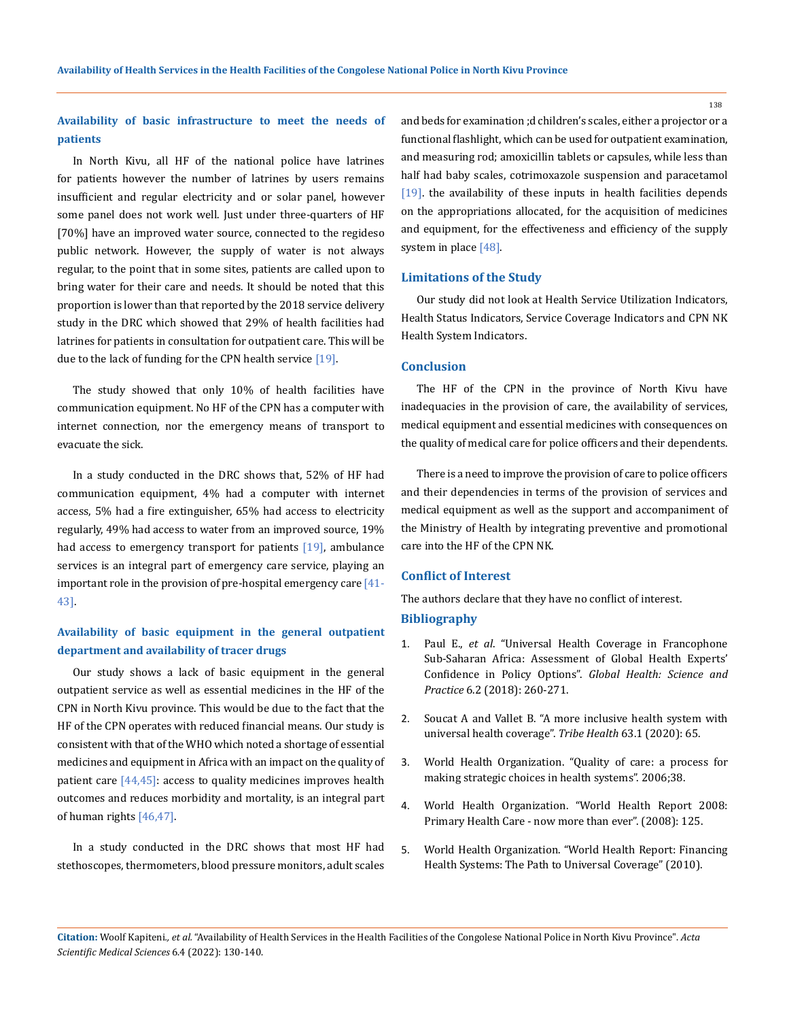**Availability of basic infrastructure to meet the needs of patients**

In North Kivu, all HF of the national police have latrines for patients however the number of latrines by users remains insufficient and regular electricity and or solar panel, however some panel does not work well. Just under three-quarters of HF [70%] have an improved water source, connected to the regideso public network. However, the supply of water is not always regular, to the point that in some sites, patients are called upon to bring water for their care and needs. It should be noted that this proportion is lower than that reported by the 2018 service delivery study in the DRC which showed that 29% of health facilities had latrines for patients in consultation for outpatient care. This will be due to the lack of funding for the CPN health service [19].

The study showed that only 10% of health facilities have communication equipment. No HF of the CPN has a computer with internet connection, nor the emergency means of transport to evacuate the sick.

In a study conducted in the DRC shows that, 52% of HF had communication equipment, 4% had a computer with internet access, 5% had a fire extinguisher, 65% had access to electricity regularly, 49% had access to water from an improved source, 19% had access to emergency transport for patients [19], ambulance services is an integral part of emergency care service, playing an important role in the provision of pre-hospital emergency care  $[41-$ 43].

# **Availability of basic equipment in the general outpatient department and availability of tracer drugs**

Our study shows a lack of basic equipment in the general outpatient service as well as essential medicines in the HF of the CPN in North Kivu province. This would be due to the fact that the HF of the CPN operates with reduced financial means. Our study is consistent with that of the WHO which noted a shortage of essential medicines and equipment in Africa with an impact on the quality of patient care  $[44,45]$ : access to quality medicines improves health outcomes and reduces morbidity and mortality, is an integral part of human rights [46,47].

In a study conducted in the DRC shows that most HF had stethoscopes, thermometers, blood pressure monitors, adult scales and beds for examination ;d children's scales, either a projector or a functional flashlight, which can be used for outpatient examination, and measuring rod; amoxicillin tablets or capsules, while less than half had baby scales, cotrimoxazole suspension and paracetamol [19]. the availability of these inputs in health facilities depends on the appropriations allocated, for the acquisition of medicines and equipment, for the effectiveness and efficiency of the supply system in place [48].

### **Limitations of the Study**

Our study did not look at Health Service Utilization Indicators, Health Status Indicators, Service Coverage Indicators and CPN NK Health System Indicators.

### **Conclusion**

The HF of the CPN in the province of North Kivu have inadequacies in the provision of care, the availability of services, medical equipment and essential medicines with consequences on the quality of medical care for police officers and their dependents.

There is a need to improve the provision of care to police officers and their dependencies in terms of the provision of services and medical equipment as well as the support and accompaniment of the Ministry of Health by integrating preventive and promotional care into the HF of the CPN NK.

## **Conflict of Interest**

The authors declare that they have no conflict of interest. **Bibliography**

- 1. Paul E., *et al*[. "Universal Health Coverage in Francophone](https://www.ghspjournal.org/content/6/2/260)  [Sub-Saharan Africa: Assessment of Global Health Experts'](https://www.ghspjournal.org/content/6/2/260)  Confidence in Policy Options". *[Global Health: Science and](https://www.ghspjournal.org/content/6/2/260)  Practice* [6.2 \(2018\): 260-271.](https://www.ghspjournal.org/content/6/2/260)
- 2. Soucat A and Vallet B. "A more inclusive health system with universal health coverage". *Tribe Health* 63.1 (2020): 65.
- 3. World Health Organization. "Quality of care: a process for making strategic choices in health systems". 2006;38.
- 4. World Health Organization. "World Health Report 2008: Primary Health Care - now more than ever". (2008): 125.
- 5. [World Health Organization. "World Health Report: Financing](https://apps.who.int/iris/handle/10665/44372)  [Health Systems: The Path to Universal Coverage" \(2010\).](https://apps.who.int/iris/handle/10665/44372)

**Citation:** Woolf Kapiteni*., et al.* "Availability of Health Services in the Health Facilities of the Congolese National Police in North Kivu Province". *Acta Scientific Medical Sciences* 6.4 (2022): 130-140.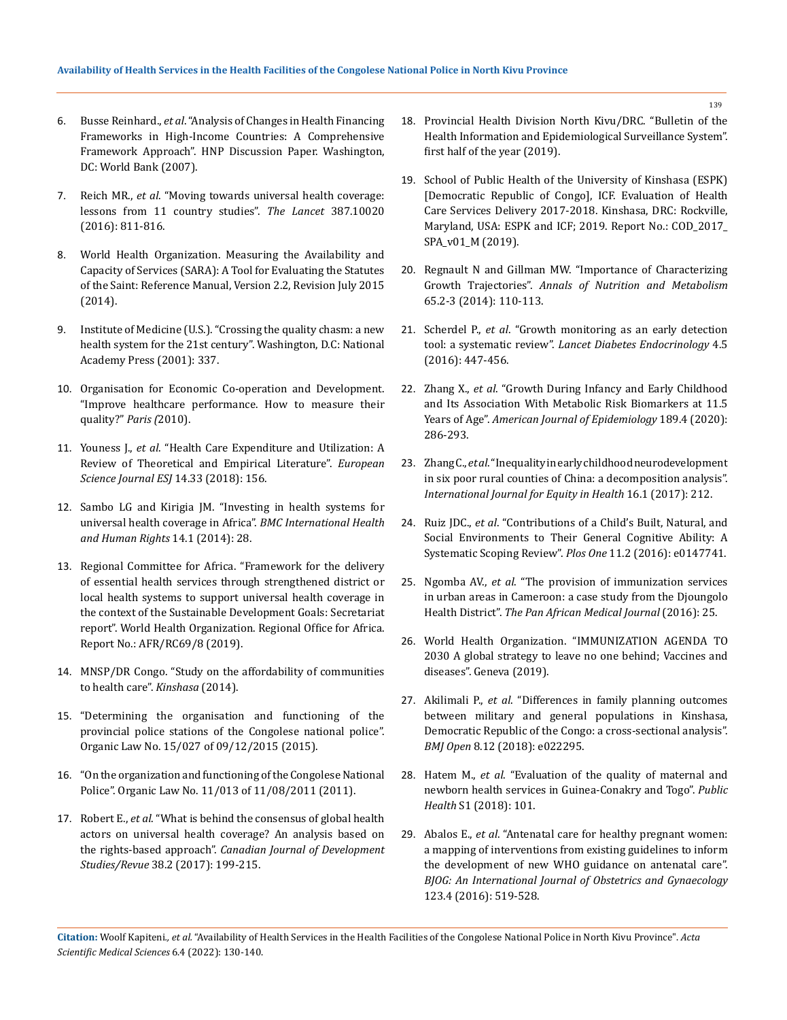- 6. Busse Reinhard., *et al*[. "Analysis of Changes in Health Financing](https://openknowledge.worldbank.org/handle/10986/13711)  [Frameworks in High-Income Countries: A Comprehensive](https://openknowledge.worldbank.org/handle/10986/13711)  [Framework Approach". HNP Discussion Paper. Washington,](https://openknowledge.worldbank.org/handle/10986/13711)  [DC: World Bank \(2007\).](https://openknowledge.worldbank.org/handle/10986/13711)
- 7. Reich MR., *et al*[. "Moving towards universal health coverage:](https://www.thelancet.com/journals/lancet/article/PIIS0140-6736(15)60002-2/fulltext)  [lessons from 11 country studies".](https://www.thelancet.com/journals/lancet/article/PIIS0140-6736(15)60002-2/fulltext) *The Lancet* 387.10020 [\(2016\): 811-816.](https://www.thelancet.com/journals/lancet/article/PIIS0140-6736(15)60002-2/fulltext)
- 8. World Health Organization. Measuring the Availability and Capacity of Services (SARA): A Tool for Evaluating the Statutes of the Saint: Reference Manual, Version 2.2, Revision July 2015 (2014).
- 9. Institute of Medicine (U.S.). "Crossing the quality chasm: a new health system for the 21st century". Washington, D.C: National Academy Press (2001): 337.
- 10. Organisation for Economic Co-operation and Development. "Improve healthcare performance. How to measure their quality?" *Paris (*2010).
- 11. Youness J., *et al*. "Health Care Expenditure and Utilization: A Review of Theoretical and Empirical Literature". *European Science Journal ESJ* 14.33 (2018): 156.
- 12. [Sambo LG and Kirigia JM. "Investing in health systems for](https://bmcinthealthhumrights.biomedcentral.com/articles/10.1186/s12914-014-0028-5)  [universal health coverage in Africa".](https://bmcinthealthhumrights.biomedcentral.com/articles/10.1186/s12914-014-0028-5) *BMC International Health [and Human Rights](https://bmcinthealthhumrights.biomedcentral.com/articles/10.1186/s12914-014-0028-5)* 14.1 (2014): 28.
- 13. [Regional Committee for Africa. "Framework for the delivery](https://apps.who.int/iris/handle/10665/332966)  [of essential health services through strengthened district or](https://apps.who.int/iris/handle/10665/332966)  [local health systems to support universal health coverage in](https://apps.who.int/iris/handle/10665/332966)  [the context of the Sustainable Development Goals: Secretariat](https://apps.who.int/iris/handle/10665/332966)  [report". World Health Organization. Regional Office for Africa.](https://apps.who.int/iris/handle/10665/332966)  [Report No.: AFR/RC69/8 \(2019\).](https://apps.who.int/iris/handle/10665/332966)
- 14. MNSP/DR Congo. "Study on the affordability of communities to health care". *Kinshasa* (2014).
- 15. "Determining the organisation and functioning of the provincial police stations of the Congolese national police". Organic Law No. 15/027 of 09/12/2015 (2015).
- 16. "On the organization and functioning of the Congolese National Police". Organic Law No. 11/013 of 11/08/2011 (2011).
- 17. Robert E., *et al*[. "What is behind the consensus of global health](https://www.cabdirect.org/globalhealth/abstract/20173252421)  [actors on universal health coverage? An analysis based on](https://www.cabdirect.org/globalhealth/abstract/20173252421)  the rights-based approach". *[Canadian Journal of Development](https://www.cabdirect.org/globalhealth/abstract/20173252421)  Studies/Revue* [38.2 \(2017\): 199-215.](https://www.cabdirect.org/globalhealth/abstract/20173252421)
- 18. Provincial Health Division North Kivu/DRC. "Bulletin of the Health Information and Epidemiological Surveillance System". first half of the year (2019).
- 19. School of Public Health of the University of Kinshasa (ESPK) [Democratic Republic of Congo], ICF. Evaluation of Health Care Services Delivery 2017-2018. Kinshasa, DRC: Rockville, Maryland, USA: ESPK and ICF; 2019. Report No.: COD\_2017\_ SPA\_v01\_M (2019).
- 20. Regnault N and Gillman MW. "Importance of Characterizing Growth Trajectories". *Annals of Nutrition and Metabolism*  65.2-3 (2014): 110-113.
- 21. Scherdel P., *et al*[. "Growth monitoring as an early detection](https://pubmed.ncbi.nlm.nih.gov/26777129/)  tool: a systematic review". *[Lancet Diabetes Endocrinology](https://pubmed.ncbi.nlm.nih.gov/26777129/)* 4.5 [\(2016\): 447-456.](https://pubmed.ncbi.nlm.nih.gov/26777129/)
- 22. Zhang X., *et al*[. "Growth During Infancy and Early Childhood](https://pubmed.ncbi.nlm.nih.gov/31595955/)  [and Its Association With Metabolic Risk Biomarkers at 11.5](https://pubmed.ncbi.nlm.nih.gov/31595955/)  Years of Age". *[American Journal of Epidemiology](https://pubmed.ncbi.nlm.nih.gov/31595955/)* 189.4 (2020): [286-293.](https://pubmed.ncbi.nlm.nih.gov/31595955/)
- 23. Zhang C., *et al*[. "Inequality in early childhood neurodevelopment](https://www.ncbi.nlm.nih.gov/pmc/articles/PMC5723085/)  [in six poor rural counties of China: a decomposition analysis".](https://www.ncbi.nlm.nih.gov/pmc/articles/PMC5723085/)  *[International Journal for Equity in Health](https://www.ncbi.nlm.nih.gov/pmc/articles/PMC5723085/)* 16.1 (2017): 212.
- 24. Ruiz JDC., *et al*[. "Contributions of a Child's Built, Natural, and](https://journals.plos.org/plosone/article?id=10.1371/journal.pone.0147741)  [Social Environments to Their General Cognitive Ability: A](https://journals.plos.org/plosone/article?id=10.1371/journal.pone.0147741)  [Systematic Scoping Review".](https://journals.plos.org/plosone/article?id=10.1371/journal.pone.0147741) *Plos One* 11.2 (2016): e0147741.
- 25. Ngomba AV., *et al*. "The provision of immunization services in urban areas in Cameroon: a case study from the Djoungolo Health District". *The Pan African Medical Journal* (2016): 25.
- 26. World Health Organization. "IMMUNIZATION AGENDA TO 2030 A global strategy to leave no one behind; Vaccines and diseases". Geneva (2019).
- 27. Akilimali P., *et al*[. "Differences in family planning outcomes](https://pubmed.ncbi.nlm.nih.gov/30580261/)  [between military and general populations in Kinshasa,](https://pubmed.ncbi.nlm.nih.gov/30580261/)  [Democratic Republic of the Congo: a cross-sectional analysis".](https://pubmed.ncbi.nlm.nih.gov/30580261/)  *BMJ Open* [8.12 \(2018\): e022295.](https://pubmed.ncbi.nlm.nih.gov/30580261/)
- 28. Hatem M., *et al*[. "Evaluation of the quality of maternal and](https://pubmed.ncbi.nlm.nih.gov/30066537/)  [newborn health services in Guinea-Conakry and Togo".](https://pubmed.ncbi.nlm.nih.gov/30066537/) *Public Health* [S1 \(2018\): 101.](https://pubmed.ncbi.nlm.nih.gov/30066537/)
- 29. Abalos E., *et al*[. "Antenatal care for healthy pregnant women:](https://pubmed.ncbi.nlm.nih.gov/26694196/)  [a mapping of interventions from existing guidelines to inform](https://pubmed.ncbi.nlm.nih.gov/26694196/)  [the development of new WHO guidance on antenatal care".](https://pubmed.ncbi.nlm.nih.gov/26694196/)  *[BJOG: An International Journal of Obstetrics and Gynaecology](https://pubmed.ncbi.nlm.nih.gov/26694196/)*  [123.4 \(2016\): 519-528.](https://pubmed.ncbi.nlm.nih.gov/26694196/)